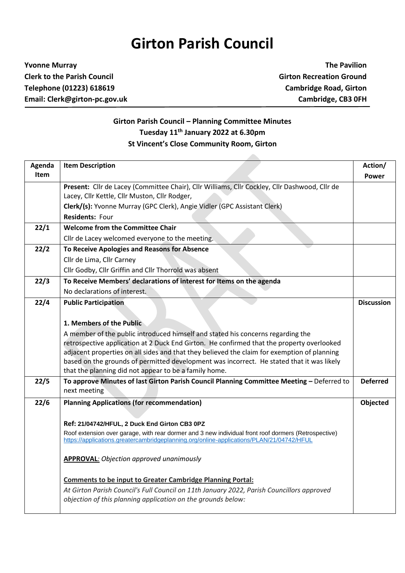## **Girton Parish Council**

**Yvonne Murray The Pavilion Clerk to the Parish Council Girton Recreation Ground Telephone (01223) 618619 Cambridge Road, Girton Email: Clerk@girton-pc.gov.uk Cambridge, CB3 0FH**

## **Girton Parish Council – Planning Committee Minutes Tuesday 11 th January 2022 at 6.30pm St Vincent's Close Community Room, Girton**

| Agenda | <b>Item Description</b>                                                                                                                                                                          | Action/           |
|--------|--------------------------------------------------------------------------------------------------------------------------------------------------------------------------------------------------|-------------------|
| Item   |                                                                                                                                                                                                  | <b>Power</b>      |
|        | Present: Cllr de Lacey (Committee Chair), Cllr Williams, Cllr Cockley, Cllr Dashwood, Cllr de                                                                                                    |                   |
|        | Lacey, Cllr Kettle, Cllr Muston, Cllr Rodger,                                                                                                                                                    |                   |
|        | Clerk/(s): Yvonne Murray (GPC Clerk), Angie Vidler (GPC Assistant Clerk)                                                                                                                         |                   |
|        | <b>Residents: Four</b>                                                                                                                                                                           |                   |
| 22/1   | <b>Welcome from the Committee Chair</b>                                                                                                                                                          |                   |
|        | Cllr de Lacey welcomed everyone to the meeting.                                                                                                                                                  |                   |
| 22/2   | To Receive Apologies and Reasons for Absence                                                                                                                                                     |                   |
|        | Cllr de Lima, Cllr Carney                                                                                                                                                                        |                   |
|        | Cllr Godby, Cllr Griffin and Cllr Thorrold was absent                                                                                                                                            |                   |
| 22/3   | To Receive Members' declarations of interest for Items on the agenda                                                                                                                             |                   |
|        | No declarations of interest.                                                                                                                                                                     |                   |
| 22/4   | <b>Public Participation</b>                                                                                                                                                                      | <b>Discussion</b> |
|        |                                                                                                                                                                                                  |                   |
|        | 1. Members of the Public                                                                                                                                                                         |                   |
|        | A member of the public introduced himself and stated his concerns regarding the                                                                                                                  |                   |
|        | retrospective application at 2 Duck End Girton. He confirmed that the property overlooked                                                                                                        |                   |
|        | adjacent properties on all sides and that they believed the claim for exemption of planning                                                                                                      |                   |
|        | based on the grounds of permitted development was incorrect. He stated that it was likely                                                                                                        |                   |
|        | that the planning did not appear to be a family home.                                                                                                                                            |                   |
| 22/5   | To approve Minutes of last Girton Parish Council Planning Committee Meeting - Deferred to                                                                                                        | <b>Deferred</b>   |
|        | next meeting                                                                                                                                                                                     |                   |
| 22/6   | <b>Planning Applications (for recommendation)</b>                                                                                                                                                | Objected          |
|        |                                                                                                                                                                                                  |                   |
|        | Ref: 21/04742/HFUL, 2 Duck End Girton CB3 0PZ                                                                                                                                                    |                   |
|        | Roof extension over garage, with rear dormer and 3 new individual front roof dormers (Retrospective)<br>https://applications.greatercambridgeplanning.org/online-applications/PLAN/21/04742/HFUL |                   |
|        |                                                                                                                                                                                                  |                   |
|        | <b>APPROVAL:</b> Objection approved unanimously                                                                                                                                                  |                   |
|        |                                                                                                                                                                                                  |                   |
|        | <b>Comments to be input to Greater Cambridge Planning Portal:</b>                                                                                                                                |                   |
|        | At Girton Parish Council's Full Council on 11th January 2022, Parish Councillors approved                                                                                                        |                   |
|        | objection of this planning application on the grounds below:                                                                                                                                     |                   |
|        |                                                                                                                                                                                                  |                   |